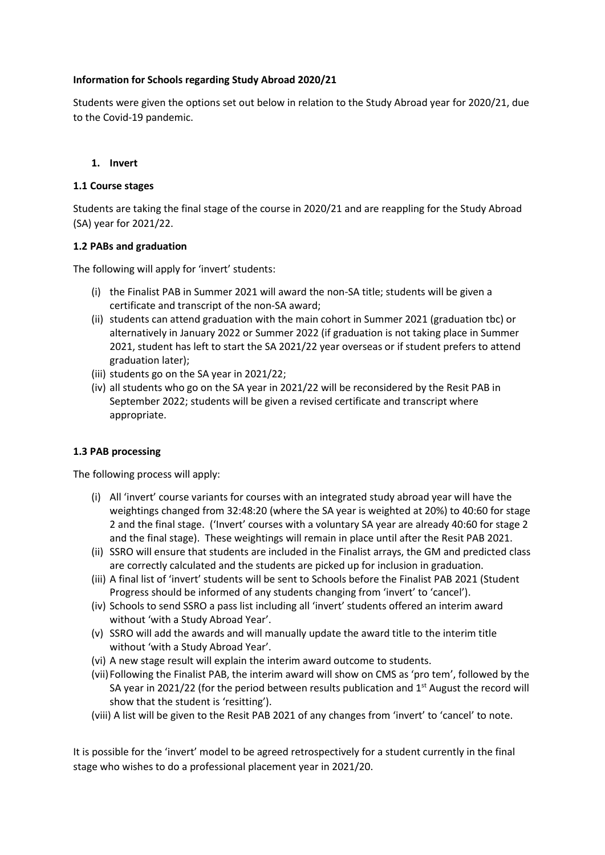## **Information for Schools regarding Study Abroad 2020/21**

Students were given the options set out below in relation to the Study Abroad year for 2020/21, due to the Covid-19 pandemic.

### **1. Invert**

### **1.1 Course stages**

Students are taking the final stage of the course in 2020/21 and are reappling for the Study Abroad (SA) year for 2021/22.

## **1.2 PABs and graduation**

The following will apply for 'invert' students:

- (i) the Finalist PAB in Summer 2021 will award the non-SA title; students will be given a certificate and transcript of the non-SA award;
- (ii) students can attend graduation with the main cohort in Summer 2021 (graduation tbc) or alternatively in January 2022 or Summer 2022 (if graduation is not taking place in Summer 2021, student has left to start the SA 2021/22 year overseas or if student prefers to attend graduation later);
- (iii) students go on the SA year in 2021/22;
- (iv) all students who go on the SA year in 2021/22 will be reconsidered by the Resit PAB in September 2022; students will be given a revised certificate and transcript where appropriate.

### **1.3 PAB processing**

The following process will apply:

- (i) All 'invert' course variants for courses with an integrated study abroad year will have the weightings changed from 32:48:20 (where the SA year is weighted at 20%) to 40:60 for stage 2 and the final stage. ('Invert' courses with a voluntary SA year are already 40:60 for stage 2 and the final stage). These weightings will remain in place until after the Resit PAB 2021.
- (ii) SSRO will ensure that students are included in the Finalist arrays, the GM and predicted class are correctly calculated and the students are picked up for inclusion in graduation.
- (iii) A final list of 'invert' students will be sent to Schools before the Finalist PAB 2021 (Student Progress should be informed of any students changing from 'invert' to 'cancel').
- (iv) Schools to send SSRO a pass list including all 'invert' students offered an interim award without 'with a Study Abroad Year'.
- (v) SSRO will add the awards and will manually update the award title to the interim title without 'with a Study Abroad Year'.
- (vi) A new stage result will explain the interim award outcome to students.
- (vii)Following the Finalist PAB, the interim award will show on CMS as 'pro tem', followed by the SA year in 2021/22 (for the period between results publication and  $1<sup>st</sup>$  August the record will show that the student is 'resitting').
- (viii) A list will be given to the Resit PAB 2021 of any changes from 'invert' to 'cancel' to note.

It is possible for the 'invert' model to be agreed retrospectively for a student currently in the final stage who wishes to do a professional placement year in 2021/20.